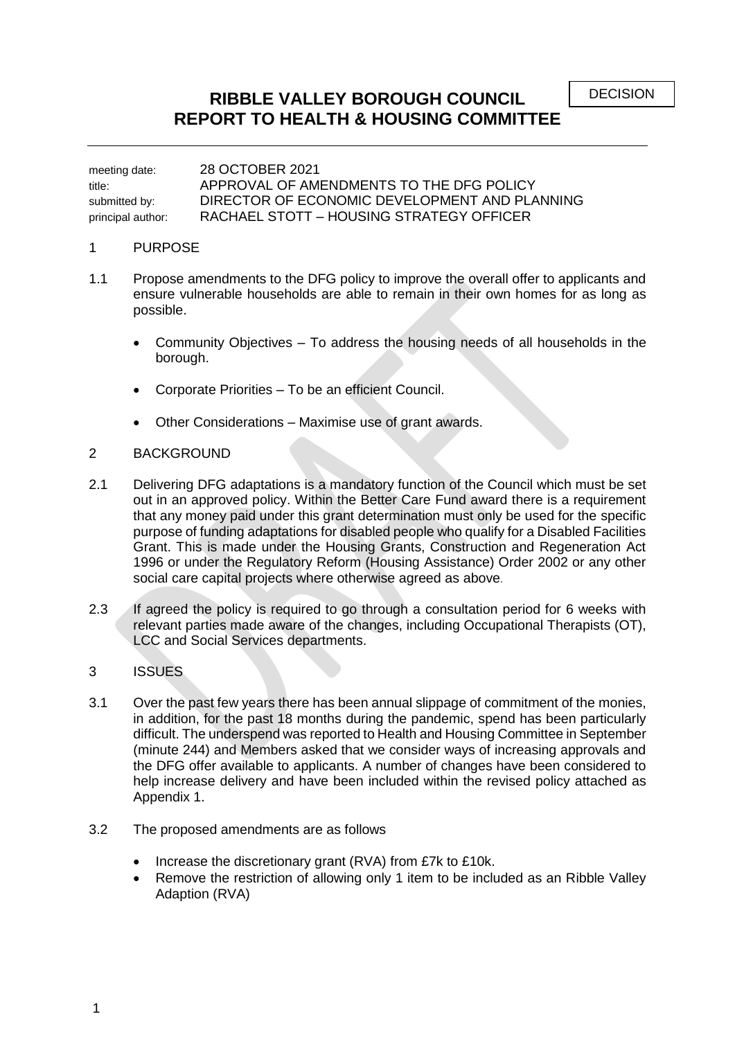#### **RIBBLE VALLEY BOROUGH COUNCIL REPORT TO HEALTH & HOUSING COMMITTEE**

meeting date: 28 OCTOBER 2021 title: APPROVAL OF AMENDMENTS TO THE DFG POLICY submitted by: DIRECTOR OF ECONOMIC DEVELOPMENT AND PLANNING principal author: RACHAEL STOTT – HOUSING STRATEGY OFFICER

#### 1 PURPOSE

- 1.1 Propose amendments to the DFG policy to improve the overall offer to applicants and ensure vulnerable households are able to remain in their own homes for as long as possible.
	- Community Objectives To address the housing needs of all households in the borough.
	- Corporate Priorities To be an efficient Council.
	- Other Considerations Maximise use of grant awards.

#### 2 BACKGROUND

- 2.1 Delivering DFG adaptations is a mandatory function of the Council which must be set out in an approved policy. Within the Better Care Fund award there is a requirement that any money paid under this grant determination must only be used for the specific purpose of funding adaptations for disabled people who qualify for a Disabled Facilities Grant. This is made under the Housing Grants, Construction and Regeneration Act 1996 or under the Regulatory Reform (Housing Assistance) Order 2002 or any other social care capital projects where otherwise agreed as above.
- 2.3 If agreed the policy is required to go through a consultation period for 6 weeks with relevant parties made aware of the changes, including Occupational Therapists (OT), LCC and Social Services departments.

#### 3 ISSUES

- 3.1 Over the past few years there has been annual slippage of commitment of the monies, in addition, for the past 18 months during the pandemic, spend has been particularly difficult. The underspend was reported to Health and Housing Committee in September (minute 244) and Members asked that we consider ways of increasing approvals and the DFG offer available to applicants. A number of changes have been considered to help increase delivery and have been included within the revised policy attached as Appendix 1.
- 3.2 The proposed amendments are as follows
	- Increase the discretionary grant (RVA) from £7k to £10k.
	- Remove the restriction of allowing only 1 item to be included as an Ribble Valley Adaption (RVA)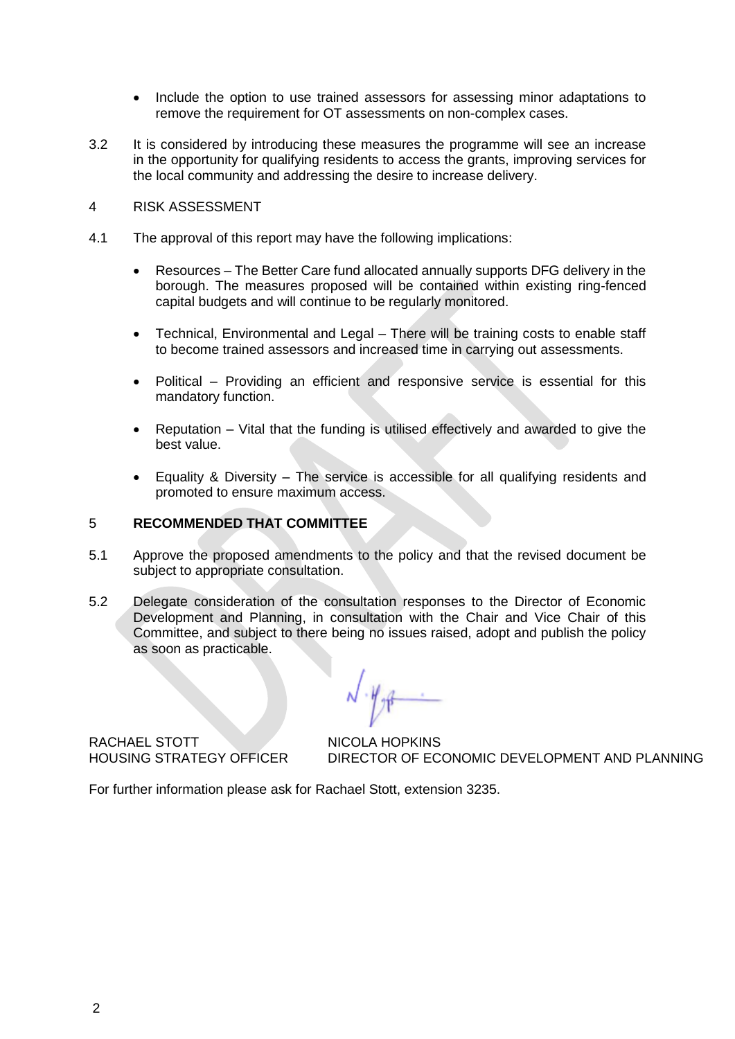- Include the option to use trained assessors for assessing minor adaptations to remove the requirement for OT assessments on non-complex cases.
- 3.2 It is considered by introducing these measures the programme will see an increase in the opportunity for qualifying residents to access the grants, improving services for the local community and addressing the desire to increase delivery.
- 4 RISK ASSESSMENT
- 4.1 The approval of this report may have the following implications:
	- Resources The Better Care fund allocated annually supports DFG delivery in the borough. The measures proposed will be contained within existing ring-fenced capital budgets and will continue to be regularly monitored.
	- Technical, Environmental and Legal There will be training costs to enable staff to become trained assessors and increased time in carrying out assessments.
	- Political Providing an efficient and responsive service is essential for this mandatory function.
	- Reputation Vital that the funding is utilised effectively and awarded to give the best value.
	- Equality & Diversity The service is accessible for all qualifying residents and promoted to ensure maximum access.

#### 5 **RECOMMENDED THAT COMMITTEE**

- 5.1 Approve the proposed amendments to the policy and that the revised document be subject to appropriate consultation.
- 5.2 Delegate consideration of the consultation responses to the Director of Economic Development and Planning, in consultation with the Chair and Vice Chair of this Committee, and subject to there being no issues raised, adopt and publish the policy as soon as practicable.

RACHAEL STOTT NICOLA HOPKINS

HOUSING STRATEGY OFFICER DIRECTOR OF ECONOMIC DEVELOPMENT AND PLANNING

For further information please ask for Rachael Stott, extension 3235.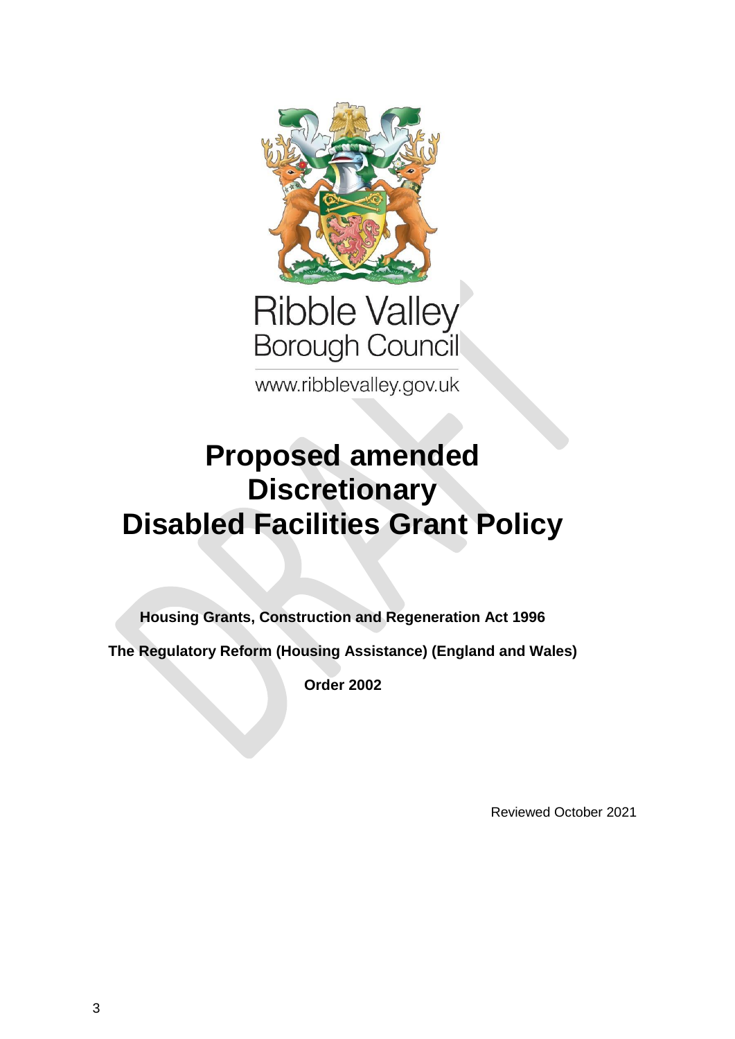

# Ribble Valley<br>Borough Council

www.ribblevalley.gov.uk

# **Proposed amended Discretionary Disabled Facilities Grant Policy**

**Housing Grants, Construction and Regeneration Act 1996**

**The Regulatory Reform (Housing Assistance) (England and Wales)** 

**Order 2002**

Reviewed October 2021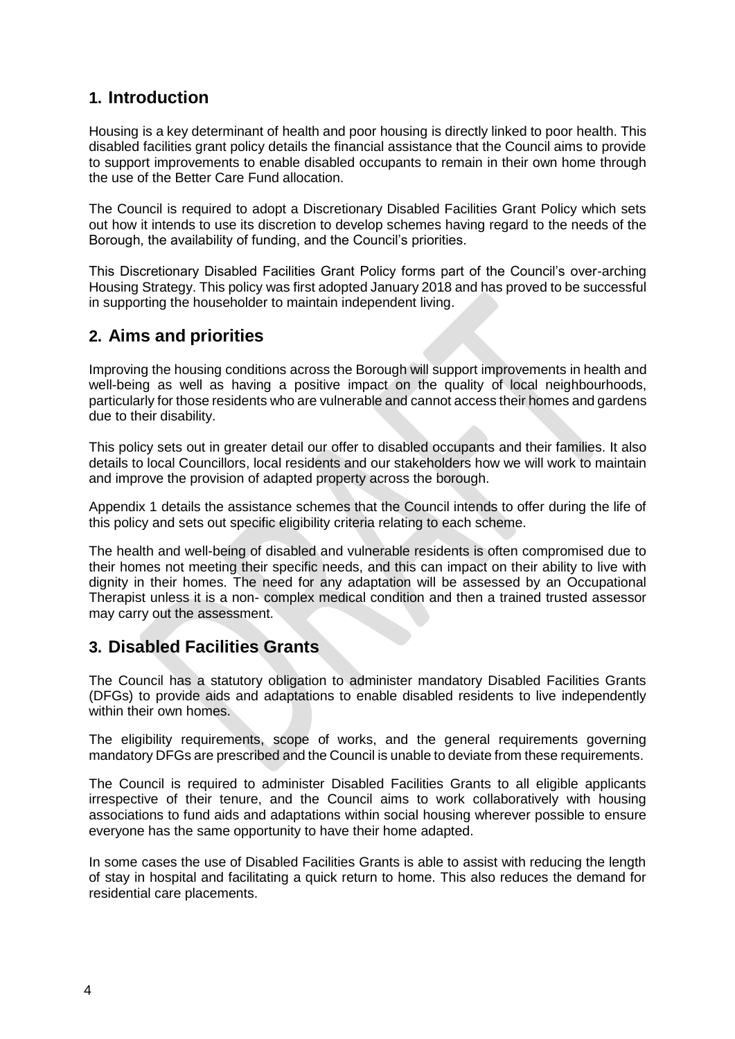## **1. Introduction**

Housing is a key determinant of health and poor housing is directly linked to poor health. This disabled facilities grant policy details the financial assistance that the Council aims to provide to support improvements to enable disabled occupants to remain in their own home through the use of the Better Care Fund allocation.

The Council is required to adopt a Discretionary Disabled Facilities Grant Policy which sets out how it intends to use its discretion to develop schemes having regard to the needs of the Borough, the availability of funding, and the Council's priorities.

This Discretionary Disabled Facilities Grant Policy forms part of the Council's over-arching Housing Strategy. This policy was first adopted January 2018 and has proved to be successful in supporting the householder to maintain independent living.

## **2. Aims and priorities**

Improving the housing conditions across the Borough will support improvements in health and well-being as well as having a positive impact on the quality of local neighbourhoods, particularly for those residents who are vulnerable and cannot access their homes and gardens due to their disability.

This policy sets out in greater detail our offer to disabled occupants and their families. It also details to local Councillors, local residents and our stakeholders how we will work to maintain and improve the provision of adapted property across the borough.

Appendix 1 details the assistance schemes that the Council intends to offer during the life of this policy and sets out specific eligibility criteria relating to each scheme.

The health and well-being of disabled and vulnerable residents is often compromised due to their homes not meeting their specific needs, and this can impact on their ability to live with dignity in their homes. The need for any adaptation will be assessed by an Occupational Therapist unless it is a non- complex medical condition and then a trained trusted assessor may carry out the assessment.

## **3. Disabled Facilities Grants**

The Council has a statutory obligation to administer mandatory Disabled Facilities Grants (DFGs) to provide aids and adaptations to enable disabled residents to live independently within their own homes.

The eligibility requirements, scope of works, and the general requirements governing mandatory DFGs are prescribed and the Council is unable to deviate from these requirements.

The Council is required to administer Disabled Facilities Grants to all eligible applicants irrespective of their tenure, and the Council aims to work collaboratively with housing associations to fund aids and adaptations within social housing wherever possible to ensure everyone has the same opportunity to have their home adapted.

In some cases the use of Disabled Facilities Grants is able to assist with reducing the length of stay in hospital and facilitating a quick return to home. This also reduces the demand for residential care placements.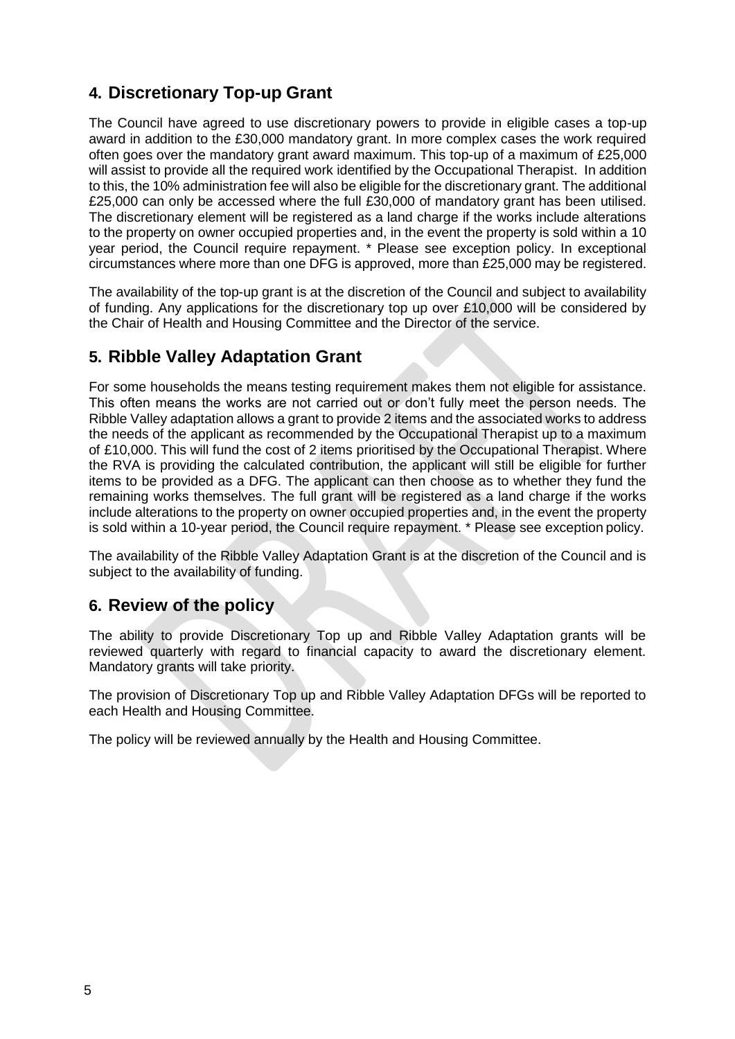# **4. Discretionary Top-up Grant**

The Council have agreed to use discretionary powers to provide in eligible cases a top-up award in addition to the £30,000 mandatory grant. In more complex cases the work required often goes over the mandatory grant award maximum. This top-up of a maximum of £25,000 will assist to provide all the required work identified by the Occupational Therapist. In addition to this, the 10% administration fee will also be eligible for the discretionary grant. The additional £25,000 can only be accessed where the full £30,000 of mandatory grant has been utilised. The discretionary element will be registered as a land charge if the works include alterations to the property on owner occupied properties and, in the event the property is sold within a 10 year period, the Council require repayment. \* Please see exception policy. In exceptional circumstances where more than one DFG is approved, more than £25,000 may be registered.

The availability of the top-up grant is at the discretion of the Council and subject to availability of funding. Any applications for the discretionary top up over £10,000 will be considered by the Chair of Health and Housing Committee and the Director of the service.

#### **5. Ribble Valley Adaptation Grant**

For some households the means testing requirement makes them not eligible for assistance. This often means the works are not carried out or don't fully meet the person needs. The Ribble Valley adaptation allows a grant to provide 2 items and the associated works to address the needs of the applicant as recommended by the Occupational Therapist up to a maximum of £10,000. This will fund the cost of 2 items prioritised by the Occupational Therapist. Where the RVA is providing the calculated contribution, the applicant will still be eligible for further items to be provided as a DFG. The applicant can then choose as to whether they fund the remaining works themselves. The full grant will be registered as a land charge if the works include alterations to the property on owner occupied properties and, in the event the property is sold within a 10-year period, the Council require repayment. \* Please see exception policy.

The availability of the Ribble Valley Adaptation Grant is at the discretion of the Council and is subject to the availability of funding.

#### **6. Review of the policy**

The ability to provide Discretionary Top up and Ribble Valley Adaptation grants will be reviewed quarterly with regard to financial capacity to award the discretionary element. Mandatory grants will take priority.

The provision of Discretionary Top up and Ribble Valley Adaptation DFGs will be reported to each Health and Housing Committee.

The policy will be reviewed annually by the Health and Housing Committee.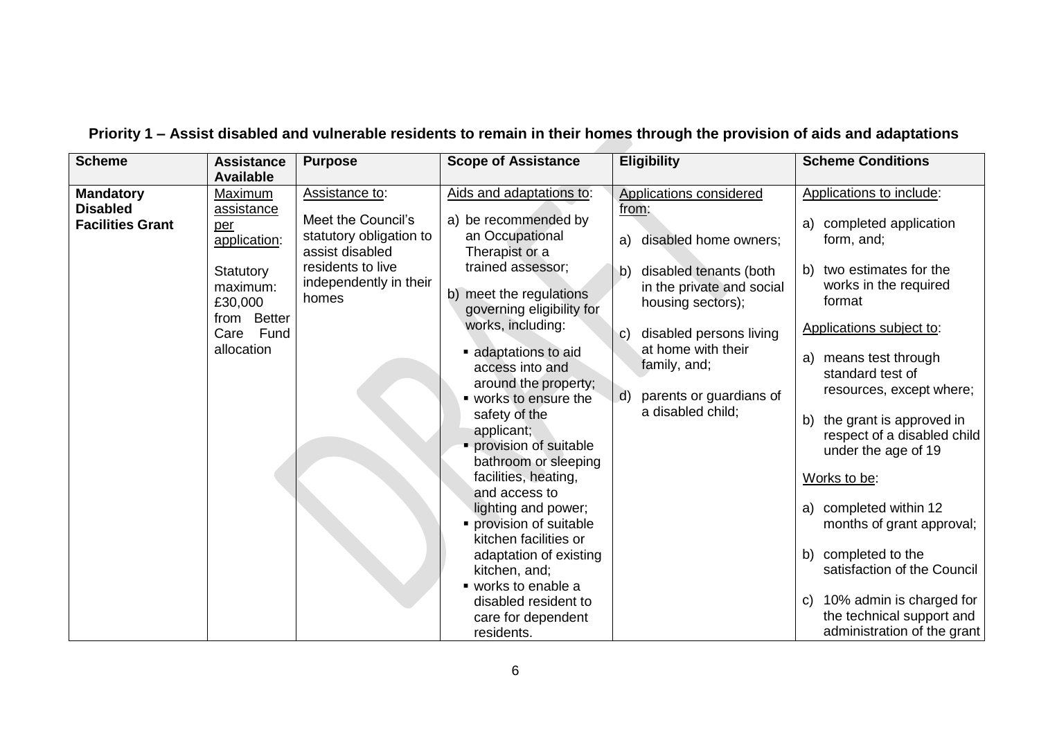| <b>Scheme</b>                                                  | <b>Assistance</b><br><b>Available</b>                                                                                      | <b>Purpose</b>                                                                                                                             | <b>Scope of Assistance</b>                                                                                                                                                                                                                                                                                                                                                                                                                                                                                                                                                                                            | <b>Eligibility</b>                                                                                                                                                                                                                                                                                        | <b>Scheme Conditions</b>                                                                                                                                                                                                                                                                                                                                                                                                                                                                                                                                  |
|----------------------------------------------------------------|----------------------------------------------------------------------------------------------------------------------------|--------------------------------------------------------------------------------------------------------------------------------------------|-----------------------------------------------------------------------------------------------------------------------------------------------------------------------------------------------------------------------------------------------------------------------------------------------------------------------------------------------------------------------------------------------------------------------------------------------------------------------------------------------------------------------------------------------------------------------------------------------------------------------|-----------------------------------------------------------------------------------------------------------------------------------------------------------------------------------------------------------------------------------------------------------------------------------------------------------|-----------------------------------------------------------------------------------------------------------------------------------------------------------------------------------------------------------------------------------------------------------------------------------------------------------------------------------------------------------------------------------------------------------------------------------------------------------------------------------------------------------------------------------------------------------|
| <b>Mandatory</b><br><b>Disabled</b><br><b>Facilities Grant</b> | Maximum<br>assistance<br>per<br>application:<br>Statutory<br>maximum:<br>£30,000<br>from Better<br>Care Fund<br>allocation | Assistance to:<br>Meet the Council's<br>statutory obligation to<br>assist disabled<br>residents to live<br>independently in their<br>homes | Aids and adaptations to:<br>a) be recommended by<br>an Occupational<br>Therapist or a<br>trained assessor;<br>b) meet the regulations<br>governing eligibility for<br>works, including:<br>adaptations to aid<br>access into and<br>around the property;<br>■ works to ensure the<br>safety of the<br>applicant;<br>• provision of suitable<br>bathroom or sleeping<br>facilities, heating,<br>and access to<br>lighting and power;<br>• provision of suitable<br>kitchen facilities or<br>adaptation of existing<br>kitchen, and;<br>■ works to enable a<br>disabled resident to<br>care for dependent<br>residents. | <b>Applications considered</b><br>from:<br>disabled home owners;<br>a)<br>disabled tenants (both<br>$\mathsf{b}$<br>in the private and social<br>housing sectors);<br>disabled persons living<br>C)<br>at home with their<br>family, and;<br>parents or guardians of<br>$\mathsf{d}$<br>a disabled child; | Applications to include:<br>a) completed application<br>form, and;<br>b) two estimates for the<br>works in the required<br>format<br>Applications subject to:<br>a) means test through<br>standard test of<br>resources, except where;<br>the grant is approved in<br>b)<br>respect of a disabled child<br>under the age of 19<br>Works to be:<br>a) completed within 12<br>months of grant approval;<br>b) completed to the<br>satisfaction of the Council<br>10% admin is charged for<br>C)<br>the technical support and<br>administration of the grant |

# **Priority 1 – Assist disabled and vulnerable residents to remain in their homes through the provision of aids and adaptations**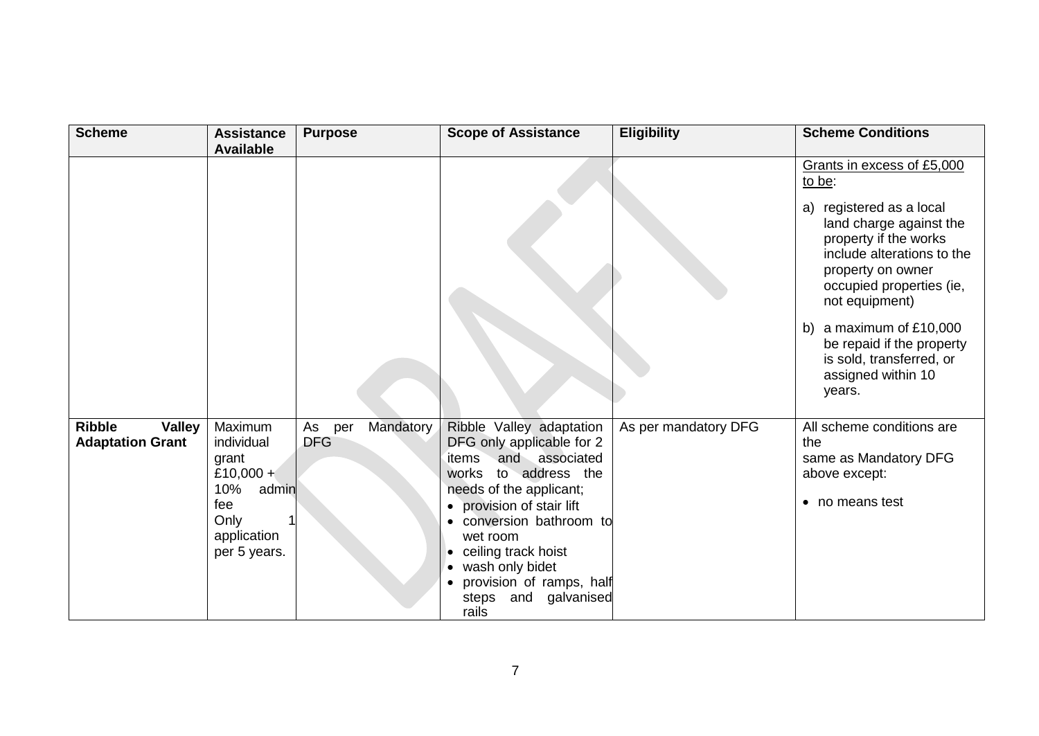| <b>Scheme</b>                                             | <b>Assistance</b><br><b>Available</b>                                                                     | <b>Purpose</b>                       | <b>Scope of Assistance</b>                                                                                                                                                                                                                                                                                                     | <b>Eligibility</b>   | <b>Scheme Conditions</b>                                                                                                                                                                                                                                                                                                                     |
|-----------------------------------------------------------|-----------------------------------------------------------------------------------------------------------|--------------------------------------|--------------------------------------------------------------------------------------------------------------------------------------------------------------------------------------------------------------------------------------------------------------------------------------------------------------------------------|----------------------|----------------------------------------------------------------------------------------------------------------------------------------------------------------------------------------------------------------------------------------------------------------------------------------------------------------------------------------------|
|                                                           |                                                                                                           |                                      |                                                                                                                                                                                                                                                                                                                                |                      | Grants in excess of £5,000<br>to be:<br>a) registered as a local<br>land charge against the<br>property if the works<br>include alterations to the<br>property on owner<br>occupied properties (ie,<br>not equipment)<br>a maximum of £10,000<br>b)<br>be repaid if the property<br>is sold, transferred, or<br>assigned within 10<br>years. |
| <b>Ribble</b><br><b>Valley</b><br><b>Adaptation Grant</b> | Maximum<br>individual<br>grant<br>£10,000 +<br>10%<br>admin<br>fee<br>Only<br>application<br>per 5 years. | Mandatory<br>As<br>per<br><b>DFG</b> | Ribble Valley adaptation<br>DFG only applicable for 2<br>and associated<br>items<br>to address the<br>works<br>needs of the applicant;<br>provision of stair lift<br>conversion bathroom to<br>wet room<br>ceiling track hoist<br>$\bullet$<br>wash only bidet<br>provision of ramps, half<br>galvanised<br>steps and<br>rails | As per mandatory DFG | All scheme conditions are<br>the<br>same as Mandatory DFG<br>above except:<br>• no means test                                                                                                                                                                                                                                                |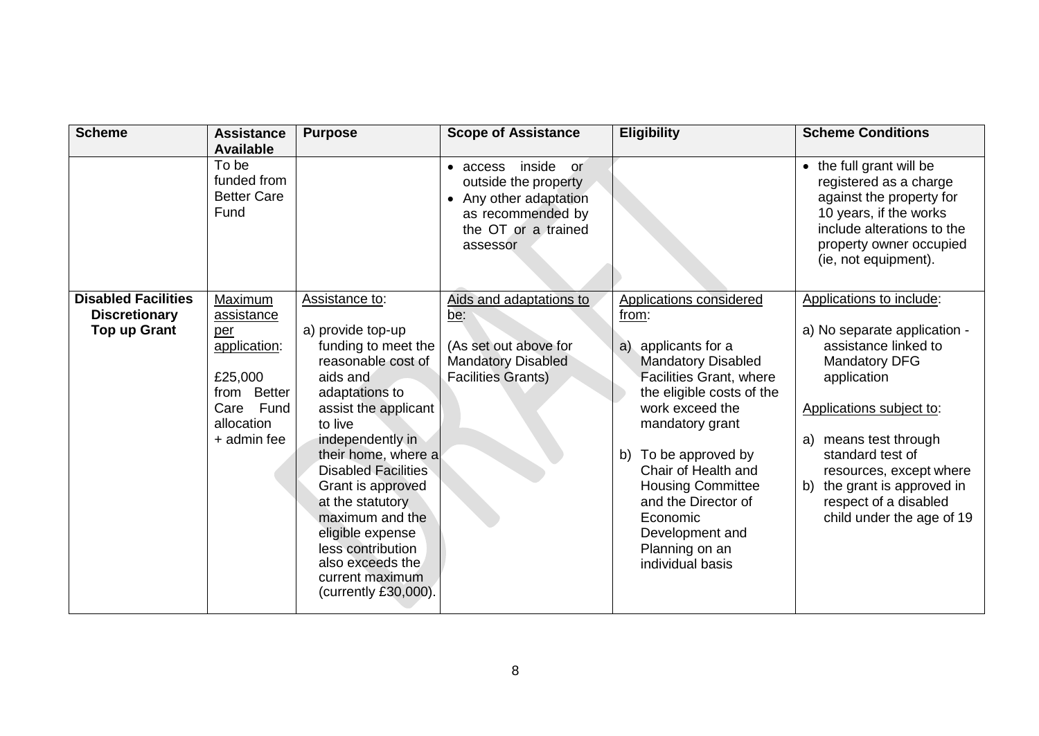| <b>Scheme</b>                                                             | <b>Assistance</b><br><b>Available</b>                                                                            | <b>Purpose</b>                                                                                                                                                                                                                                                                                                                                                                                 | <b>Scope of Assistance</b>                                                                                                         | <b>Eligibility</b>                                                                                                                                                                                                                                                                                                                                                     | <b>Scheme Conditions</b>                                                                                                                                                                                                                                                                                               |
|---------------------------------------------------------------------------|------------------------------------------------------------------------------------------------------------------|------------------------------------------------------------------------------------------------------------------------------------------------------------------------------------------------------------------------------------------------------------------------------------------------------------------------------------------------------------------------------------------------|------------------------------------------------------------------------------------------------------------------------------------|------------------------------------------------------------------------------------------------------------------------------------------------------------------------------------------------------------------------------------------------------------------------------------------------------------------------------------------------------------------------|------------------------------------------------------------------------------------------------------------------------------------------------------------------------------------------------------------------------------------------------------------------------------------------------------------------------|
|                                                                           | To be<br>funded from<br><b>Better Care</b><br>Fund                                                               |                                                                                                                                                                                                                                                                                                                                                                                                | inside<br>• access<br>or<br>outside the property<br>• Any other adaptation<br>as recommended by<br>the OT or a trained<br>assessor |                                                                                                                                                                                                                                                                                                                                                                        | • the full grant will be<br>registered as a charge<br>against the property for<br>10 years, if the works<br>include alterations to the<br>property owner occupied<br>(ie, not equipment).                                                                                                                              |
| <b>Disabled Facilities</b><br><b>Discretionary</b><br><b>Top up Grant</b> | Maximum<br>assistance<br>per<br>application:<br>£25,000<br>from Better<br>Care Fund<br>allocation<br>+ admin fee | Assistance to:<br>a) provide top-up<br>funding to meet the<br>reasonable cost of<br>aids and<br>adaptations to<br>assist the applicant<br>to live<br>independently in<br>their home, where a<br><b>Disabled Facilities</b><br>Grant is approved<br>at the statutory<br>maximum and the<br>eligible expense<br>less contribution<br>also exceeds the<br>current maximum<br>(currently £30,000). | Aids and adaptations to<br>be:<br>(As set out above for<br><b>Mandatory Disabled</b><br><b>Facilities Grants)</b>                  | Applications considered<br>from:<br>applicants for a<br>a)<br><b>Mandatory Disabled</b><br><b>Facilities Grant, where</b><br>the eligible costs of the<br>work exceed the<br>mandatory grant<br>To be approved by<br>b)<br>Chair of Health and<br><b>Housing Committee</b><br>and the Director of<br>Economic<br>Development and<br>Planning on an<br>individual basis | Applications to include:<br>a) No separate application -<br>assistance linked to<br><b>Mandatory DFG</b><br>application<br>Applications subject to:<br>means test through<br>a)<br>standard test of<br>resources, except where<br>the grant is approved in<br>b)<br>respect of a disabled<br>child under the age of 19 |